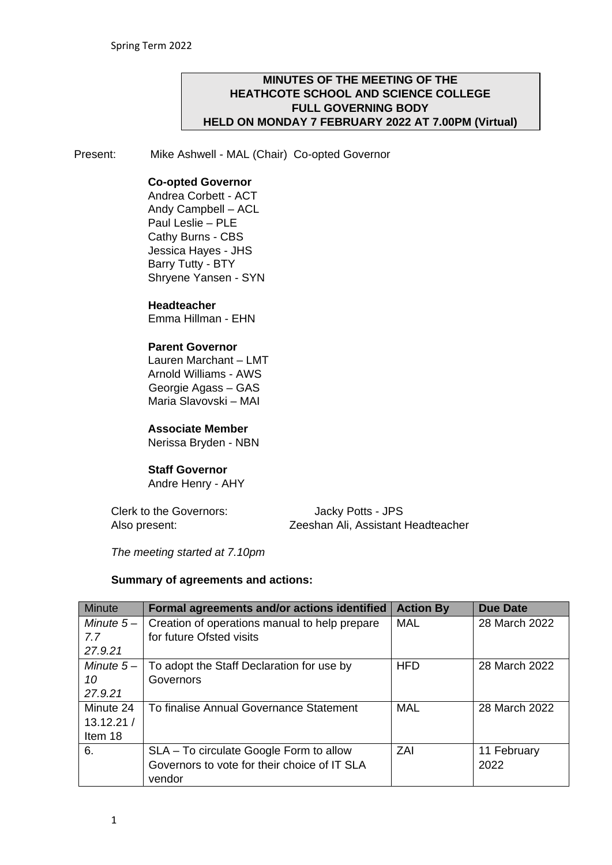#### **MINUTES OF THE MEETING OF THE HEATHCOTE SCHOOL AND SCIENCE COLLEGE FULL GOVERNING BODY HELD ON MONDAY 7 FEBRUARY 2022 AT 7.00PM (Virtual)**

Present: Mike Ashwell - MAL (Chair) Co-opted Governor

#### **Co-opted Governor**

Andrea Corbett - ACT Andy Campbell – ACL Paul Leslie – PLE Cathy Burns - CBS Jessica Hayes - JHS Barry Tutty - BTY Shryene Yansen - SYN

#### **Headteacher**

Emma Hillman - EHN

#### **Parent Governor**

Lauren Marchant – LMT Arnold Williams - AWS Georgie Agass – GAS Maria Slavovski – MAI

# **Associate Member**

Nerissa Bryden - NBN

#### **Staff Governor**

Andre Henry - AHY

Clerk to the Governors: Jacky Potts - JPS Also present: Zeeshan Ali, Assistant Headteacher

*The meeting started at 7.10pm* 

#### **Summary of agreements and actions:**

| Minute      | Formal agreements and/or actions identified   | <b>Action By</b> | Due Date      |
|-------------|-----------------------------------------------|------------------|---------------|
| Minute $5-$ | Creation of operations manual to help prepare | <b>MAL</b>       | 28 March 2022 |
| 7.7         | for future Ofsted visits                      |                  |               |
| 27.9.21     |                                               |                  |               |
| Minute $5-$ | To adopt the Staff Declaration for use by     | <b>HFD</b>       | 28 March 2022 |
| 10          | Governors                                     |                  |               |
| 27.9.21     |                                               |                  |               |
| Minute 24   | To finalise Annual Governance Statement       | <b>MAL</b>       | 28 March 2022 |
| 13.12.21/   |                                               |                  |               |
| Item 18     |                                               |                  |               |
| 6.          | SLA – To circulate Google Form to allow       | ZAI              | 11 February   |
|             | Governors to vote for their choice of IT SLA  |                  | 2022          |
|             | vendor                                        |                  |               |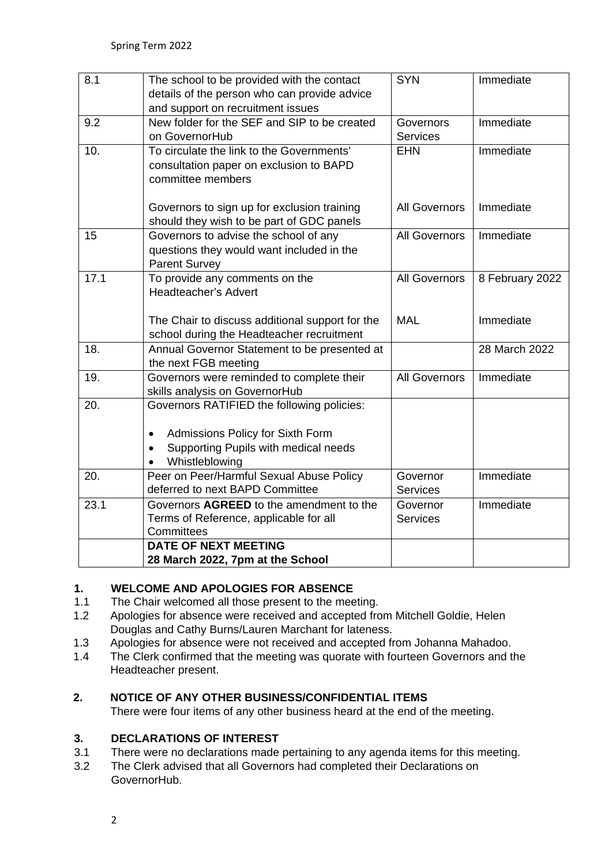| 8.1  | The school to be provided with the contact<br>details of the person who can provide advice<br>and support on recruitment issues                       | <b>SYN</b>                   | Immediate       |
|------|-------------------------------------------------------------------------------------------------------------------------------------------------------|------------------------------|-----------------|
| 9.2  | New folder for the SEF and SIP to be created<br>on GovernorHub                                                                                        | Governors<br><b>Services</b> | Immediate       |
| 10.  | To circulate the link to the Governments'<br>consultation paper on exclusion to BAPD<br>committee members                                             | <b>EHN</b>                   | Immediate       |
|      | Governors to sign up for exclusion training<br>should they wish to be part of GDC panels                                                              | <b>All Governors</b>         | Immediate       |
| 15   | Governors to advise the school of any<br>questions they would want included in the<br><b>Parent Survey</b>                                            | <b>All Governors</b>         | Immediate       |
| 17.1 | To provide any comments on the<br>Headteacher's Advert                                                                                                | <b>All Governors</b>         | 8 February 2022 |
|      | The Chair to discuss additional support for the<br>school during the Headteacher recruitment                                                          | <b>MAL</b>                   | Immediate       |
| 18.  | Annual Governor Statement to be presented at<br>the next FGB meeting                                                                                  |                              | 28 March 2022   |
| 19.  | Governors were reminded to complete their<br>skills analysis on GovernorHub                                                                           | <b>All Governors</b>         | Immediate       |
| 20.  | Governors RATIFIED the following policies:<br>Admissions Policy for Sixth Form<br>$\bullet$<br>Supporting Pupils with medical needs<br>Whistleblowing |                              |                 |
| 20.  | Peer on Peer/Harmful Sexual Abuse Policy<br>deferred to next BAPD Committee                                                                           | Governor<br><b>Services</b>  | Immediate       |
| 23.1 | Governors AGREED to the amendment to the<br>Terms of Reference, applicable for all<br>Committees                                                      | Governor<br><b>Services</b>  | Immediate       |
|      | <b>DATE OF NEXT MEETING</b>                                                                                                                           |                              |                 |
|      | 28 March 2022, 7pm at the School                                                                                                                      |                              |                 |

# **1. WELCOME AND APOLOGIES FOR ABSENCE**

- 1.1 The Chair welcomed all those present to the meeting.
- 1.2 Apologies for absence were received and accepted from Mitchell Goldie, Helen Douglas and Cathy Burns/Lauren Marchant for lateness.
- 1.3 Apologies for absence were not received and accepted from Johanna Mahadoo.
- 1.4 The Clerk confirmed that the meeting was quorate with fourteen Governors and the Headteacher present.

# **2. NOTICE OF ANY OTHER BUSINESS/CONFIDENTIAL ITEMS**

There were four items of any other business heard at the end of the meeting.

# **3. DECLARATIONS OF INTEREST**

- 3.1 There were no declarations made pertaining to any agenda items for this meeting.
- 3.2 The Clerk advised that all Governors had completed their Declarations on GovernorHub.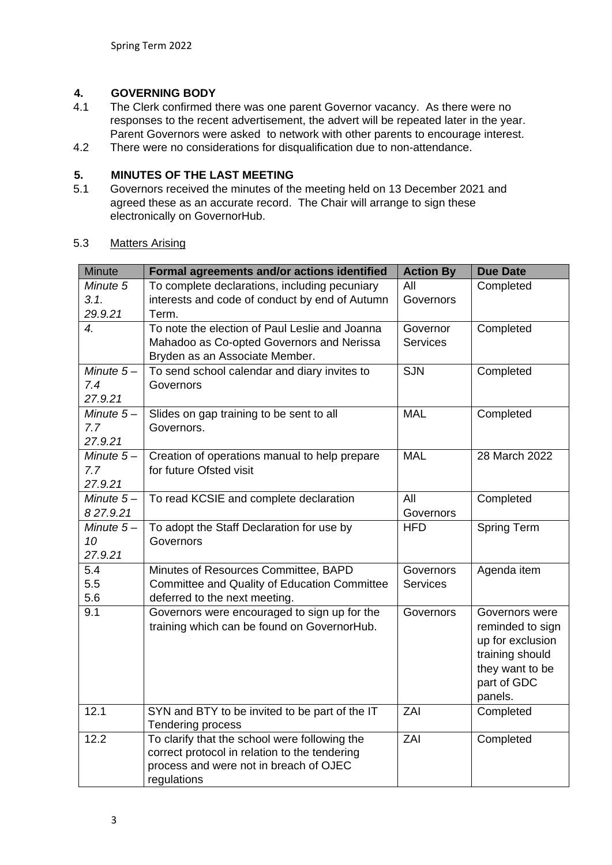# **4. GOVERNING BODY**

- The Clerk confirmed there was one parent Governor vacancy. As there were no responses to the recent advertisement, the advert will be repeated later in the year. Parent Governors were asked to network with other parents to encourage interest.
- 4.2 There were no considerations for disqualification due to non-attendance.

# **5. MINUTES OF THE LAST MEETING**

5.1 Governors received the minutes of the meeting held on 13 December 2021 and agreed these as an accurate record. The Chair will arrange to sign these electronically on GovernorHub.

| <b>Minute</b>          | Formal agreements and/or actions identified                                             | <b>Action By</b> | <b>Due Date</b>                      |
|------------------------|-----------------------------------------------------------------------------------------|------------------|--------------------------------------|
| Minute 5               | To complete declarations, including pecuniary                                           | All              | Completed                            |
| 3.1.                   | interests and code of conduct by end of Autumn                                          | Governors        |                                      |
| 29.9.21                | Term.                                                                                   |                  |                                      |
| $\overline{4}$ .       | To note the election of Paul Leslie and Joanna                                          | Governor         | Completed                            |
|                        | Mahadoo as Co-opted Governors and Nerissa<br>Bryden as an Associate Member.             | <b>Services</b>  |                                      |
| Minute $5-$            | To send school calendar and diary invites to                                            | <b>SJN</b>       | Completed                            |
| 7.4                    | Governors                                                                               |                  |                                      |
| 27.9.21                |                                                                                         |                  |                                      |
| Minute $5-$            | Slides on gap training to be sent to all                                                | <b>MAL</b>       | Completed                            |
| 7.7                    | Governors.                                                                              |                  |                                      |
| 27.9.21                |                                                                                         |                  |                                      |
| Minute $5-$            | Creation of operations manual to help prepare                                           | <b>MAL</b>       | 28 March 2022                        |
| 7.7                    | for future Ofsted visit                                                                 |                  |                                      |
| 27.9.21<br>Minute $5-$ | To read KCSIE and complete declaration                                                  | All              | Completed                            |
| 827.9.21               |                                                                                         | Governors        |                                      |
| Minute $5-$            | To adopt the Staff Declaration for use by                                               | <b>HFD</b>       | Spring Term                          |
| 10                     | Governors                                                                               |                  |                                      |
| 27.9.21                |                                                                                         |                  |                                      |
| 5.4                    | Minutes of Resources Committee, BAPD                                                    | Governors        | Agenda item                          |
| 5.5                    | Committee and Quality of Education Committee                                            | <b>Services</b>  |                                      |
| 5.6                    | deferred to the next meeting.                                                           |                  |                                      |
| 9.1                    | Governors were encouraged to sign up for the                                            | Governors        | Governors were                       |
|                        | training which can be found on GovernorHub.                                             |                  | reminded to sign<br>up for exclusion |
|                        |                                                                                         |                  | training should                      |
|                        |                                                                                         |                  | they want to be                      |
|                        |                                                                                         |                  | part of GDC                          |
|                        |                                                                                         |                  | panels.                              |
| 12.1                   | SYN and BTY to be invited to be part of the IT                                          | ZAI              | Completed                            |
|                        | Tendering process                                                                       |                  |                                      |
| 12.2                   | To clarify that the school were following the                                           | ZAI              | Completed                            |
|                        | correct protocol in relation to the tendering<br>process and were not in breach of OJEC |                  |                                      |
|                        | regulations                                                                             |                  |                                      |

#### 5.3 Matters Arising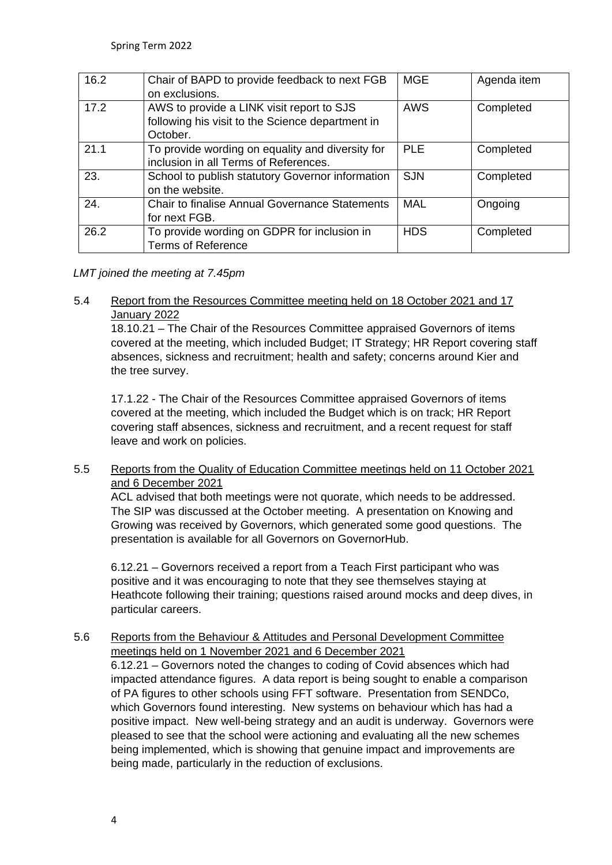| 16.2 | Chair of BAPD to provide feedback to next FGB<br>on exclusions.                                           | <b>MGE</b> | Agenda item |
|------|-----------------------------------------------------------------------------------------------------------|------------|-------------|
| 17.2 | AWS to provide a LINK visit report to SJS<br>following his visit to the Science department in<br>October. | AWS        | Completed   |
| 21.1 | To provide wording on equality and diversity for<br>inclusion in all Terms of References.                 | <b>PLE</b> | Completed   |
| 23.  | School to publish statutory Governor information<br>on the website.                                       | <b>SJN</b> | Completed   |
| 24.  | <b>Chair to finalise Annual Governance Statements</b><br>for next FGB.                                    | <b>MAL</b> | Ongoing     |
| 26.2 | To provide wording on GDPR for inclusion in<br><b>Terms of Reference</b>                                  | <b>HDS</b> | Completed   |

# *LMT joined the meeting at 7.45pm*

# 5.4 Report from the Resources Committee meeting held on 18 October 2021 and 17 January 2022

18.10.21 – The Chair of the Resources Committee appraised Governors of items covered at the meeting, which included Budget; IT Strategy; HR Report covering staff absences, sickness and recruitment; health and safety; concerns around Kier and the tree survey.

17.1.22 - The Chair of the Resources Committee appraised Governors of items covered at the meeting, which included the Budget which is on track; HR Report covering staff absences, sickness and recruitment, and a recent request for staff leave and work on policies.

# 5.5 Reports from the Quality of Education Committee meetings held on 11 October 2021 and 6 December 2021

ACL advised that both meetings were not quorate, which needs to be addressed. The SIP was discussed at the October meeting. A presentation on Knowing and Growing was received by Governors, which generated some good questions. The presentation is available for all Governors on GovernorHub.

6.12.21 – Governors received a report from a Teach First participant who was positive and it was encouraging to note that they see themselves staying at Heathcote following their training; questions raised around mocks and deep dives, in particular careers.

# 5.6 Reports from the Behaviour & Attitudes and Personal Development Committee meetings held on 1 November 2021 and 6 December 2021

6.12.21 – Governors noted the changes to coding of Covid absences which had impacted attendance figures. A data report is being sought to enable a comparison of PA figures to other schools using FFT software. Presentation from SENDCo, which Governors found interesting. New systems on behaviour which has had a positive impact. New well-being strategy and an audit is underway. Governors were pleased to see that the school were actioning and evaluating all the new schemes being implemented, which is showing that genuine impact and improvements are being made, particularly in the reduction of exclusions.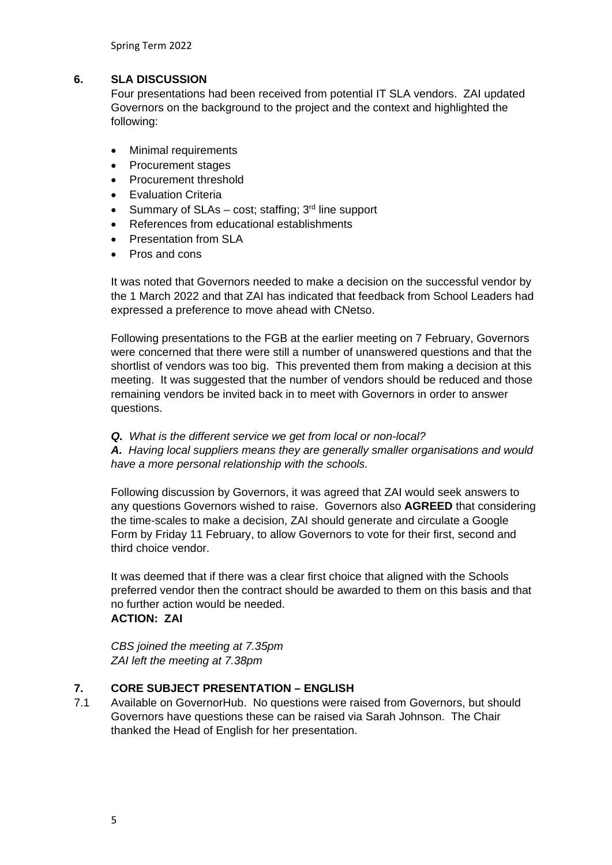Spring Term 2022

#### **6. SLA DISCUSSION**

Four presentations had been received from potential IT SLA vendors. ZAI updated Governors on the background to the project and the context and highlighted the following:

- Minimal requirements
- Procurement stages
- Procurement threshold
- **Evaluation Criteria**
- Summary of SLAs cost; staffing:  $3<sup>rd</sup>$  line support
- References from educational establishments
- Presentation from SLA
- Pros and cons

It was noted that Governors needed to make a decision on the successful vendor by the 1 March 2022 and that ZAI has indicated that feedback from School Leaders had expressed a preference to move ahead with CNetso.

Following presentations to the FGB at the earlier meeting on 7 February, Governors were concerned that there were still a number of unanswered questions and that the shortlist of vendors was too big. This prevented them from making a decision at this meeting. It was suggested that the number of vendors should be reduced and those remaining vendors be invited back in to meet with Governors in order to answer questions.

*Q. What is the different service we get from local or non-local?*

*A. Having local suppliers means they are generally smaller organisations and would have a more personal relationship with the schools.* 

Following discussion by Governors, it was agreed that ZAI would seek answers to any questions Governors wished to raise. Governors also **AGREED** that considering the time-scales to make a decision, ZAI should generate and circulate a Google Form by Friday 11 February, to allow Governors to vote for their first, second and third choice vendor.

It was deemed that if there was a clear first choice that aligned with the Schools preferred vendor then the contract should be awarded to them on this basis and that no further action would be needed. **ACTION: ZAI**

*CBS joined the meeting at 7.35pm ZAI left the meeting at 7.38pm* 

# **7. CORE SUBJECT PRESENTATION – ENGLISH**

7.1 Available on GovernorHub. No questions were raised from Governors, but should Governors have questions these can be raised via Sarah Johnson. The Chair thanked the Head of English for her presentation.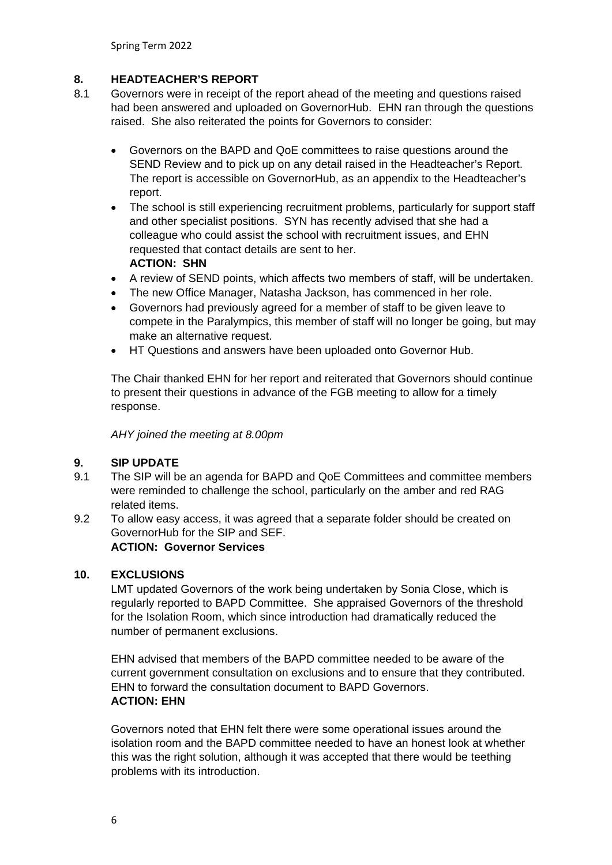Spring Term 2022

# **8. HEADTEACHER'S REPORT**

- 8.1 Governors were in receipt of the report ahead of the meeting and questions raised had been answered and uploaded on GovernorHub. EHN ran through the questions raised. She also reiterated the points for Governors to consider:
	- Governors on the BAPD and QoE committees to raise questions around the SEND Review and to pick up on any detail raised in the Headteacher's Report. The report is accessible on GovernorHub, as an appendix to the Headteacher's report.
	- The school is still experiencing recruitment problems, particularly for support staff and other specialist positions. SYN has recently advised that she had a colleague who could assist the school with recruitment issues, and EHN requested that contact details are sent to her. **ACTION: SHN**
	- A review of SEND points, which affects two members of staff, will be undertaken.
	- The new Office Manager, Natasha Jackson, has commenced in her role.
	- Governors had previously agreed for a member of staff to be given leave to compete in the Paralympics, this member of staff will no longer be going, but may make an alternative request.
	- HT Questions and answers have been uploaded onto Governor Hub.

The Chair thanked EHN for her report and reiterated that Governors should continue to present their questions in advance of the FGB meeting to allow for a timely response.

*AHY joined the meeting at 8.00pm*

#### **9. SIP UPDATE**

- 9.1 The SIP will be an agenda for BAPD and QoE Committees and committee members were reminded to challenge the school, particularly on the amber and red RAG related items.
- 9.2 To allow easy access, it was agreed that a separate folder should be created on GovernorHub for the SIP and SEF. **ACTION: Governor Services**

#### **10. EXCLUSIONS**

LMT updated Governors of the work being undertaken by Sonia Close, which is regularly reported to BAPD Committee. She appraised Governors of the threshold for the Isolation Room, which since introduction had dramatically reduced the number of permanent exclusions.

EHN advised that members of the BAPD committee needed to be aware of the current government consultation on exclusions and to ensure that they contributed. EHN to forward the consultation document to BAPD Governors. **ACTION: EHN**

Governors noted that EHN felt there were some operational issues around the isolation room and the BAPD committee needed to have an honest look at whether this was the right solution, although it was accepted that there would be teething problems with its introduction.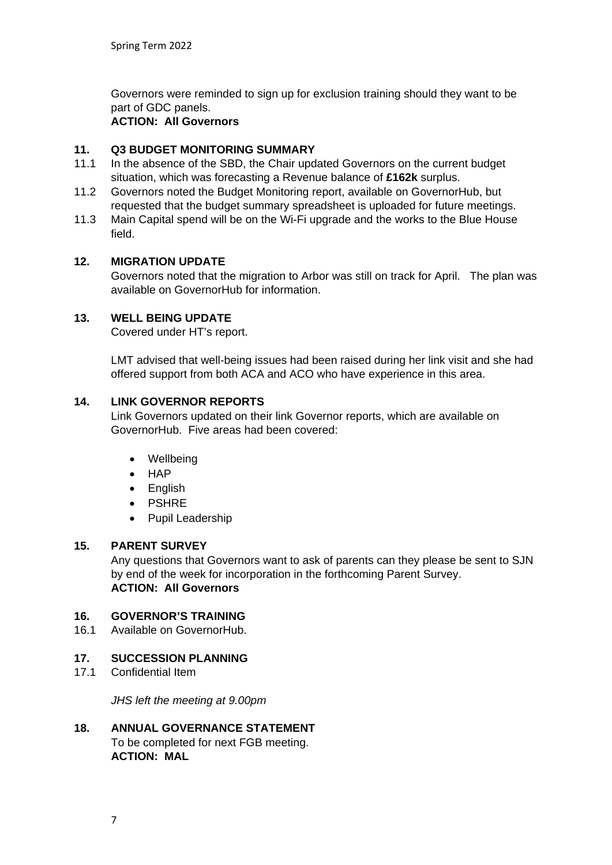Governors were reminded to sign up for exclusion training should they want to be part of GDC panels.

#### **ACTION: All Governors**

# **11. Q3 BUDGET MONITORING SUMMARY**

- 11.1 In the absence of the SBD, the Chair updated Governors on the current budget situation, which was forecasting a Revenue balance of **£162k** surplus.
- 11.2 Governors noted the Budget Monitoring report, available on GovernorHub, but requested that the budget summary spreadsheet is uploaded for future meetings.
- 11.3 Main Capital spend will be on the Wi-Fi upgrade and the works to the Blue House field.

#### **12. MIGRATION UPDATE**

Governors noted that the migration to Arbor was still on track for April. The plan was available on GovernorHub for information.

#### **13. WELL BEING UPDATE**

Covered under HT's report.

LMT advised that well-being issues had been raised during her link visit and she had offered support from both ACA and ACO who have experience in this area.

#### **14. LINK GOVERNOR REPORTS**

Link Governors updated on their link Governor reports, which are available on GovernorHub. Five areas had been covered:

- Wellbeing
- HAP
- English
- PSHRE
- Pupil Leadership

#### **15. PARENT SURVEY**

Any questions that Governors want to ask of parents can they please be sent to SJN by end of the week for incorporation in the forthcoming Parent Survey. **ACTION: All Governors**

# **16. GOVERNOR'S TRAINING**

16.1 Available on GovernorHub.

#### **17. SUCCESSION PLANNING**

17.1 Confidential Item

*JHS left the meeting at 9.00pm*

#### **18. ANNUAL GOVERNANCE STATEMENT** To be completed for next FGB meeting. **ACTION: MAL**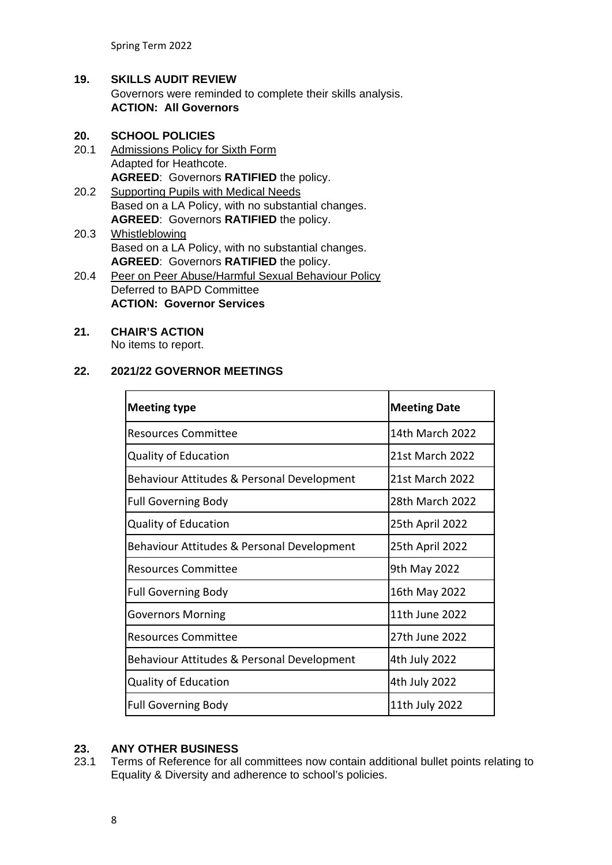Spring Term 2022

# **19. SKILLS AUDIT REVIEW** Governors were reminded to complete their skills analysis. **ACTION: All Governors**

#### **20. SCHOOL POLICIES**

- 20.1 Admissions Policy for Sixth Form Adapted for Heathcote. **AGREED**: Governors **RATIFIED** the policy.
- 20.2 Supporting Pupils with Medical Needs Based on a LA Policy, with no substantial changes. **AGREED**: Governors **RATIFIED** the policy.
- 20.3 Whistleblowing Based on a LA Policy, with no substantial changes. **AGREED**: Governors **RATIFIED** the policy.
- 20.4 Peer on Peer Abuse/Harmful Sexual Behaviour Policy Deferred to BAPD Committee **ACTION: Governor Services**

# **21. CHAIR'S ACTION**

No items to report.

#### **22. 2021/22 GOVERNOR MEETINGS**

| <b>Meeting type</b>                        | <b>Meeting Date</b>    |
|--------------------------------------------|------------------------|
| <b>Resources Committee</b>                 | 14th March 2022        |
| <b>Quality of Education</b>                | <b>21st March 2022</b> |
| Behaviour Attitudes & Personal Development | 21st March 2022        |
| <b>Full Governing Body</b>                 | 28th March 2022        |
| <b>Quality of Education</b>                | 25th April 2022        |
| Behaviour Attitudes & Personal Development | 25th April 2022        |
| <b>Resources Committee</b>                 | 9th May 2022           |
| <b>Full Governing Body</b>                 | 16th May 2022          |
| Governors Morning                          | 11th June 2022         |
| <b>Resources Committee</b>                 | 27th June 2022         |
| Behaviour Attitudes & Personal Development | 4th July 2022          |
| <b>Quality of Education</b>                | 4th July 2022          |
| <b>Full Governing Body</b>                 | 11th July 2022         |

# **23. ANY OTHER BUSINESS**

23.1 Terms of Reference for all committees now contain additional bullet points relating to Equality & Diversity and adherence to school's policies.